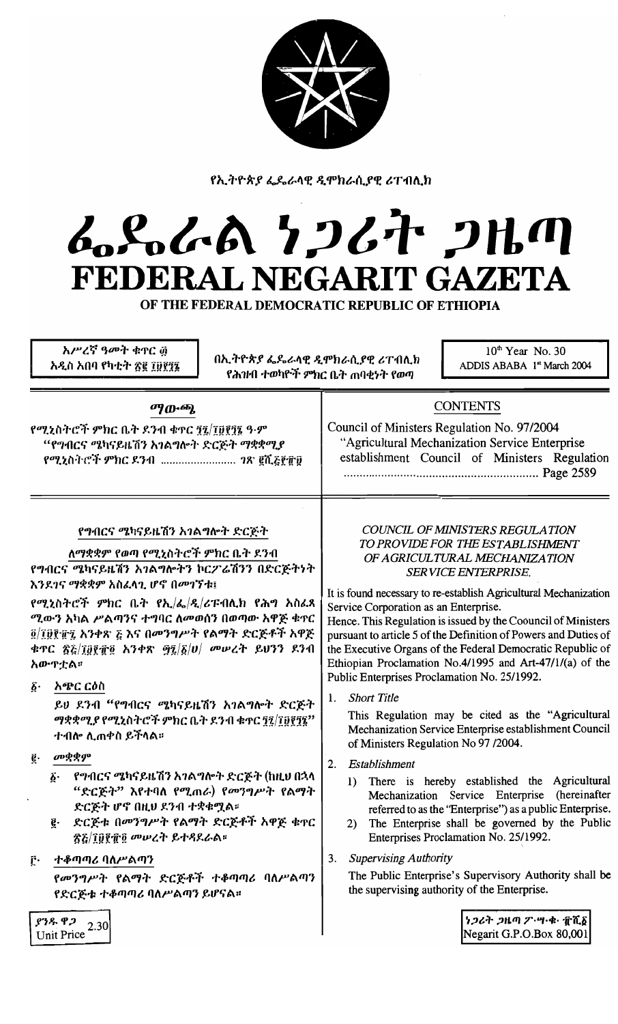

የኢትዮጵያ ፌዴራላዊ ዲሞክራሲያዊ ሪፐብሊክ

# んとんでん クンムヤ フルの FEDERAL NEGARIT GAZETA

OF THE FEDERAL DEMOCRATIC REPUBLIC OF ETHIOPIA

አሥረኛ ዓመት ቁጥር ፴ አዲስ አበባ የካቲት ጽ፪ ፲፱፻፺፮

በኢትዮጵያ ፌዴራላዊ ዲሞክራሲያዊ ሪፐብሊክ የሕዝብ ተወካዮች ምክር ቤት ጠባቂነት የወጣ

10<sup>th</sup> Year No. 30 ADDIS ABABA 1st March 2004

### ማውጫ

የሚኒስትሮች ምክር ቤት ደንብ ቁኖር <u>ፃ</u>ୂ7{jፀ፻፺፮ ዓ·ም "የግብርና ሜካናይዜሽን አገልግሎት ድርጅት ማቋቋሚያ የሚኒስትሮች ምክር ዶንብ .......................... *าጽ* ፪ሺ<u>ਣ፻</u>፹፱

## **CONTENTS**

Council of Ministers Regulation No. 97/2004 "Agricultural Mechanization Service Enterprise establishment Council of Ministers Regulation 

## የግብርና ሜካናይዜሽን አገልግሎት ድርጅት

ለማቋቋም የወጣ የሚኒስትሮች ምክር ቤት ደንብ

የግብርና ሜካናይዜሽን አገልግሎትን ኮርፖሬሽንን በድርጅትነት እንደገና ማቋቋም አስፈላጊ ሆኖ በመገኘቱ፤

የሚኒስትሮች ምክር ቤት የኢ/ፌ/ዲ/ሪፑብሊክ የሕግ አስፈጻ ሚውን አካል ሥልጣንና ተግባር ለመወሰን በወጣው አዋጅ ቁጥር ፬/፲፱፻፹፯ አንቀጽ ፭ እና በመንግሥት የልማት ድርጅቶች አዋጅ ቱጥር ፳፭/፲፱፻፹፬ አንቀጽ ፵፯/፩/ሀ/ መሠረት ይህንን ደንብ አውዋቷል።

፩· አጭር ርዕስ

ይህ ደንብ "የግብርና ሜካናይዜሽን አገልግሎት ድርጅት ማቋቋሚያ የሚኒስትሮች ምክር ቤት ደንብ ቁጥር ፻፺/፲፱፻፺፯" ተብሎ ሊጠቀስ ይችላል።

- መቋቋም ę.
	- የግብርና ሜካናይዜሽን አንልግሎት ድርጅት (ከዚህ በኋላ б. "ድርጅት" እየተባለ የሚጠራ) የመንግሥት የልማት ድርጅት ሆኖ በዚህ ደንብ ተቋቁሟል።
	- e ድርጅቱ በመንግሥት የልማት ድርጅቶች አዋጅ ቁጥር ጽሯ/፲፱፻፹፬ መሠረት ይተዳደራል።
- ተቆጣጣሪ ባለሥልጣን ŕ٠

የመንግሥት የልማት ድርጅቶች ተቆጣጣሪ ባለሥልጣን የድርጅቱ ተቆጣጣሪ ባለሥልጣን ይሆናል።

#### COUNCIL OF MINISTERS REGULATION TO PROVIDE FOR THE ESTABLISHMENT OF AGRICULTURAL MECHANIZATION SERVICE ENTERPRISE.

It is found necessary to re-establish Agricultural Mechanization Service Corporation as an Enterprise.

Hence. This Regulation is issued by the Coouncil of Ministers pursuant to article 5 of the Definition of Powers and Duties of the Executive Organs of the Federal Democratic Republic of Ethiopian Proclamation No.4/1995 and Art-47/1/(a) of the Public Enterprises Proclamation No. 25/1992.

**Short Title**  $\mathbf{1}$ .

> This Regulation may be cited as the "Agricultural Mechanization Service Enterprise establishment Council of Ministers Regulation No 97 /2004.

- 2. Establishment
	- 1) There is hereby established the Agricultural Mechanization Service Enterprise (hereinafter referred to as the "Enterprise") as a public Enterprise.
	- 2) The Enterprise shall be governed by the Public Enterprises Proclamation No. 25/1992.
- 3. Supervising Authority

The Public Enterprise's Supervisory Authority shall be the supervising authority of the Enterprise.

> ነጋሪት ጋዜጣ ፖ ሣ ቁ ፹ሺδ Negarit G.P.O.Box 80,001

ያንዱ ዋጋ 2.30 **Unit Price**